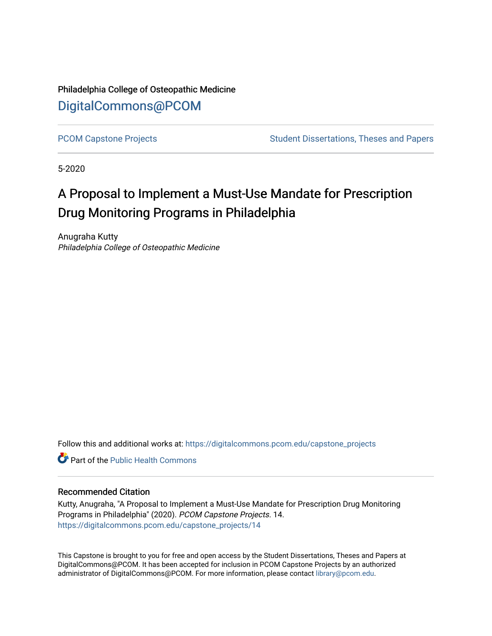Philadelphia College of Osteopathic Medicine [DigitalCommons@PCOM](https://digitalcommons.pcom.edu/) 

[PCOM Capstone Projects](https://digitalcommons.pcom.edu/capstone_projects) **Student Dissertations, Theses and Papers** Student Dissertations, Theses and Papers

5-2020

# A Proposal to Implement a Must-Use Mandate for Prescription Drug Monitoring Programs in Philadelphia

Anugraha Kutty Philadelphia College of Osteopathic Medicine

Follow this and additional works at: [https://digitalcommons.pcom.edu/capstone\\_projects](https://digitalcommons.pcom.edu/capstone_projects?utm_source=digitalcommons.pcom.edu%2Fcapstone_projects%2F14&utm_medium=PDF&utm_campaign=PDFCoverPages)

**C** Part of the Public Health Commons

#### Recommended Citation

Kutty, Anugraha, "A Proposal to Implement a Must-Use Mandate for Prescription Drug Monitoring Programs in Philadelphia" (2020). PCOM Capstone Projects. 14. [https://digitalcommons.pcom.edu/capstone\\_projects/14](https://digitalcommons.pcom.edu/capstone_projects/14?utm_source=digitalcommons.pcom.edu%2Fcapstone_projects%2F14&utm_medium=PDF&utm_campaign=PDFCoverPages) 

This Capstone is brought to you for free and open access by the Student Dissertations, Theses and Papers at DigitalCommons@PCOM. It has been accepted for inclusion in PCOM Capstone Projects by an authorized administrator of DigitalCommons@PCOM. For more information, please contact [library@pcom.edu.](mailto:library@pcom.edu)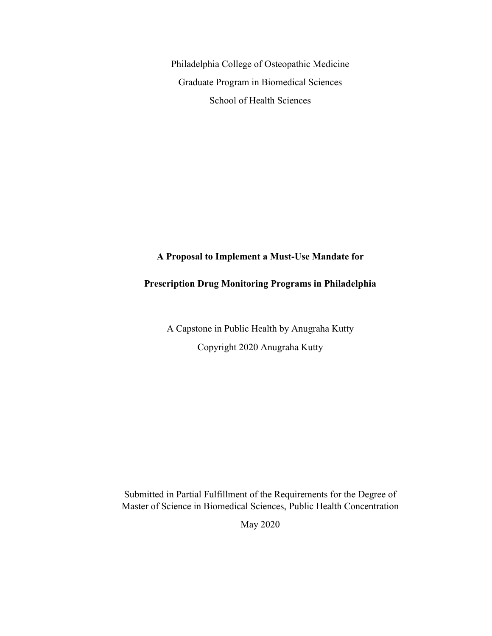Philadelphia College of Osteopathic Medicine Graduate Program in Biomedical Sciences School of Health Sciences

## **A Proposal to Implement a Must-Use Mandate for**

# **Prescription Drug Monitoring Programs in Philadelphia**

A Capstone in Public Health by Anugraha Kutty Copyright 2020 Anugraha Kutty

Submitted in Partial Fulfillment of the Requirements for the Degree of Master of Science in Biomedical Sciences, Public Health Concentration

May 2020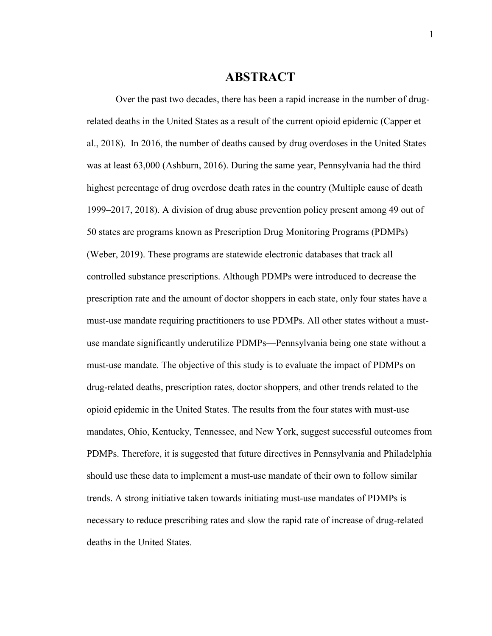# **ABSTRACT**

Over the past two decades, there has been a rapid increase in the number of drugrelated deaths in the United States as a result of the current opioid epidemic (Capper et al., 2018). In 2016, the number of deaths caused by drug overdoses in the United States was at least 63,000 (Ashburn, 2016). During the same year, Pennsylvania had the third highest percentage of drug overdose death rates in the country (Multiple cause of death 1999–2017, 2018). A division of drug abuse prevention policy present among 49 out of 50 states are programs known as Prescription Drug Monitoring Programs (PDMPs) (Weber, 2019). These programs are statewide electronic databases that track all controlled substance prescriptions. Although PDMPs were introduced to decrease the prescription rate and the amount of doctor shoppers in each state, only four states have a must-use mandate requiring practitioners to use PDMPs. All other states without a mustuse mandate significantly underutilize PDMPs—Pennsylvania being one state without a must-use mandate. The objective of this study is to evaluate the impact of PDMPs on drug-related deaths, prescription rates, doctor shoppers, and other trends related to the opioid epidemic in the United States. The results from the four states with must-use mandates, Ohio, Kentucky, Tennessee, and New York, suggest successful outcomes from PDMPs. Therefore, it is suggested that future directives in Pennsylvania and Philadelphia should use these data to implement a must-use mandate of their own to follow similar trends. A strong initiative taken towards initiating must-use mandates of PDMPs is necessary to reduce prescribing rates and slow the rapid rate of increase of drug-related deaths in the United States.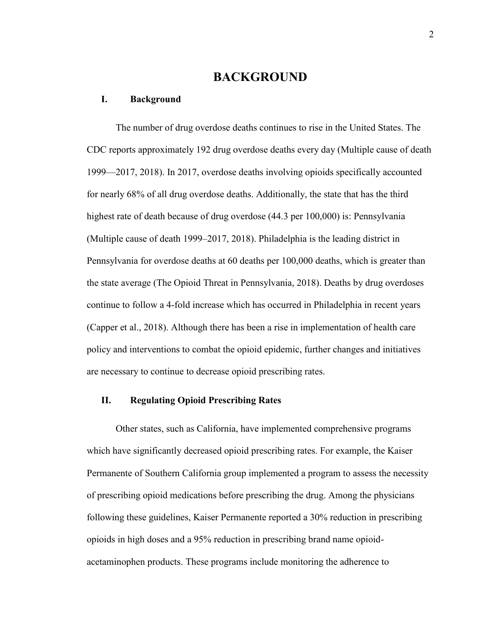# **BACKGROUND**

#### **I. Background**

The number of drug overdose deaths continues to rise in the United States. The CDC reports approximately 192 drug overdose deaths every day (Multiple cause of death 1999—2017, 2018). In 2017, overdose deaths involving opioids specifically accounted for nearly 68% of all drug overdose deaths. Additionally, the state that has the third highest rate of death because of drug overdose (44.3 per 100,000) is: Pennsylvania (Multiple cause of death 1999–2017, 2018). Philadelphia is the leading district in Pennsylvania for overdose deaths at 60 deaths per 100,000 deaths, which is greater than the state average (The Opioid Threat in Pennsylvania, 2018). Deaths by drug overdoses continue to follow a 4-fold increase which has occurred in Philadelphia in recent years (Capper et al., 2018). Although there has been a rise in implementation of health care policy and interventions to combat the opioid epidemic, further changes and initiatives are necessary to continue to decrease opioid prescribing rates.

#### **II. Regulating Opioid Prescribing Rates**

Other states, such as California, have implemented comprehensive programs which have significantly decreased opioid prescribing rates. For example, the Kaiser Permanente of Southern California group implemented a program to assess the necessity of prescribing opioid medications before prescribing the drug. Among the physicians following these guidelines, Kaiser Permanente reported a 30% reduction in prescribing opioids in high doses and a 95% reduction in prescribing brand name opioidacetaminophen products. These programs include monitoring the adherence to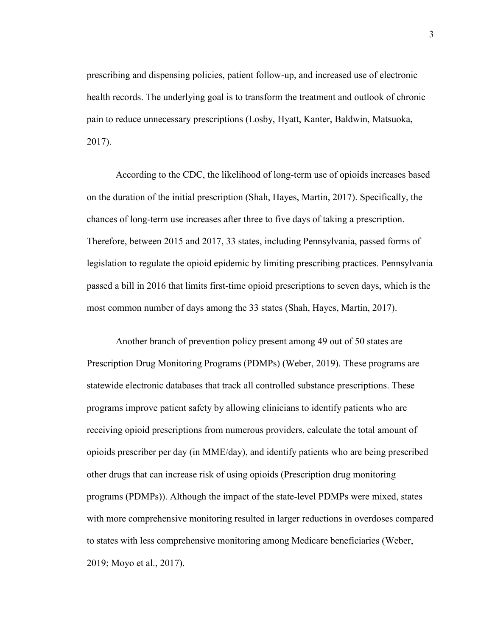prescribing and dispensing policies, patient follow-up, and increased use of electronic health records. The underlying goal is to transform the treatment and outlook of chronic pain to reduce unnecessary prescriptions (Losby, Hyatt, Kanter, Baldwin, Matsuoka, 2017).

According to the CDC, the likelihood of long-term use of opioids increases based on the duration of the initial prescription (Shah, Hayes, Martin, 2017). Specifically, the chances of long-term use increases after three to five days of taking a prescription. Therefore, between 2015 and 2017, 33 states, including Pennsylvania, passed forms of legislation to regulate the opioid epidemic by limiting prescribing practices. Pennsylvania passed a bill in 2016 that limits first-time opioid prescriptions to seven days, which is the most common number of days among the 33 states (Shah, Hayes, Martin, 2017).

Another branch of prevention policy present among 49 out of 50 states are Prescription Drug Monitoring Programs (PDMPs) (Weber, 2019). These programs are statewide electronic databases that track all controlled substance prescriptions. These programs improve patient safety by allowing clinicians to identify patients who are receiving opioid prescriptions from numerous providers, calculate the total amount of opioids prescriber per day (in MME/day), and identify patients who are being prescribed other drugs that can increase risk of using opioids (Prescription drug monitoring programs (PDMPs)). Although the impact of the state-level PDMPs were mixed, states with more comprehensive monitoring resulted in larger reductions in overdoses compared to states with less comprehensive monitoring among Medicare beneficiaries (Weber, 2019; Moyo et al., 2017).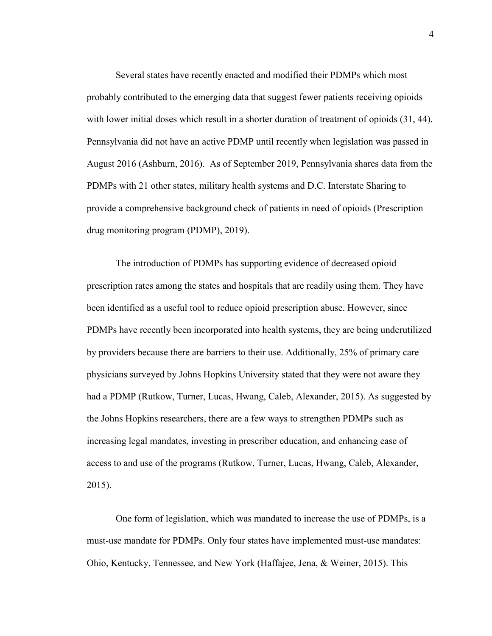Several states have recently enacted and modified their PDMPs which most probably contributed to the emerging data that suggest fewer patients receiving opioids with lower initial doses which result in a shorter duration of treatment of opioids  $(31, 44)$ . Pennsylvania did not have an active PDMP until recently when legislation was passed in August 2016 (Ashburn, 2016). As of September 2019, Pennsylvania shares data from the PDMPs with 21 other states, military health systems and D.C. Interstate Sharing to provide a comprehensive background check of patients in need of opioids (Prescription drug monitoring program (PDMP), 2019).

The introduction of PDMPs has supporting evidence of decreased opioid prescription rates among the states and hospitals that are readily using them. They have been identified as a useful tool to reduce opioid prescription abuse. However, since PDMPs have recently been incorporated into health systems, they are being underutilized by providers because there are barriers to their use. Additionally, 25% of primary care physicians surveyed by Johns Hopkins University stated that they were not aware they had a PDMP (Rutkow, Turner, Lucas, Hwang, Caleb, Alexander, 2015). As suggested by the Johns Hopkins researchers, there are a few ways to strengthen PDMPs such as increasing legal mandates, investing in prescriber education, and enhancing ease of access to and use of the programs (Rutkow, Turner, Lucas, Hwang, Caleb, Alexander, 2015).

One form of legislation, which was mandated to increase the use of PDMPs, is a must-use mandate for PDMPs. Only four states have implemented must-use mandates: Ohio, Kentucky, Tennessee, and New York (Haffajee, Jena, & Weiner, 2015). This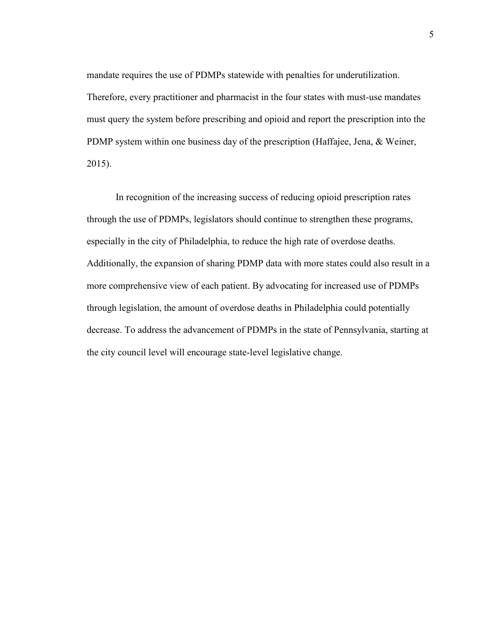mandate requires the use of PDMPs statewide with penalties for underutilization. Therefore, every practitioner and pharmacist in the four states with must-use mandates must query the system before prescribing and opioid and report the prescription into the PDMP system within one business day of the prescription (Haffajee, Jena, & Weiner, 2015).

In recognition of the increasing success of reducing opioid prescription rates through the use of PDMPs, legislators should continue to strengthen these programs, especially in the city of Philadelphia, to reduce the high rate of overdose deaths. Additionally, the expansion of sharing PDMP data with more states could also result in a more comprehensive view of each patient. By advocating for increased use of PDMPs through legislation, the amount of overdose deaths in Philadelphia could potentially decrease. To address the advancement of PDMPs in the state of Pennsylvania, starting at the city council level will encourage state-level legislative change.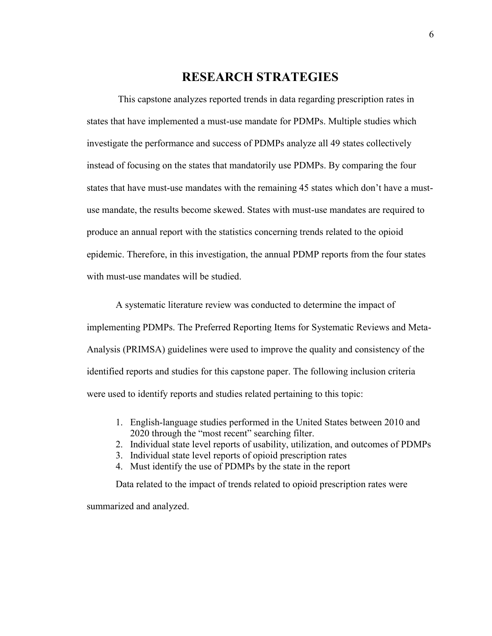# **RESEARCH STRATEGIES**

This capstone analyzes reported trends in data regarding prescription rates in states that have implemented a must-use mandate for PDMPs. Multiple studies which investigate the performance and success of PDMPs analyze all 49 states collectively instead of focusing on the states that mandatorily use PDMPs. By comparing the four states that have must-use mandates with the remaining 45 states which don't have a mustuse mandate, the results become skewed. States with must-use mandates are required to produce an annual report with the statistics concerning trends related to the opioid epidemic. Therefore, in this investigation, the annual PDMP reports from the four states with must-use mandates will be studied.

A systematic literature review was conducted to determine the impact of implementing PDMPs. The Preferred Reporting Items for Systematic Reviews and Meta-Analysis (PRIMSA) guidelines were used to improve the quality and consistency of the identified reports and studies for this capstone paper. The following inclusion criteria were used to identify reports and studies related pertaining to this topic:

- 1. English-language studies performed in the United States between 2010 and 2020 through the "most recent" searching filter.
- 2. Individual state level reports of usability, utilization, and outcomes of PDMPs
- 3. Individual state level reports of opioid prescription rates
- 4. Must identify the use of PDMPs by the state in the report

Data related to the impact of trends related to opioid prescription rates were summarized and analyzed.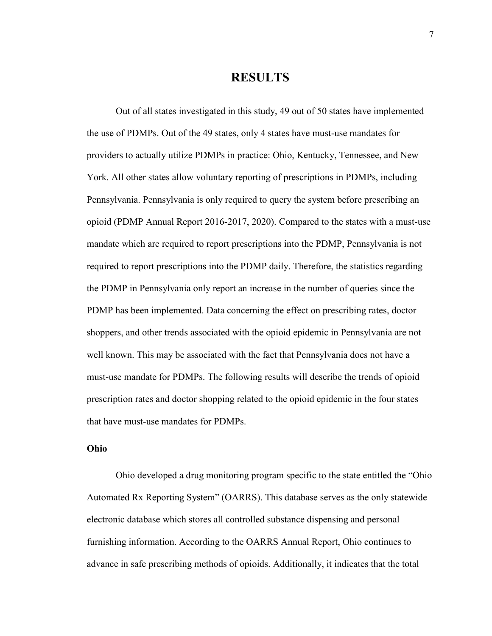# **RESULTS**

Out of all states investigated in this study, 49 out of 50 states have implemented the use of PDMPs. Out of the 49 states, only 4 states have must-use mandates for providers to actually utilize PDMPs in practice: Ohio, Kentucky, Tennessee, and New York. All other states allow voluntary reporting of prescriptions in PDMPs, including Pennsylvania. Pennsylvania is only required to query the system before prescribing an opioid (PDMP Annual Report 2016-2017, 2020). Compared to the states with a must-use mandate which are required to report prescriptions into the PDMP, Pennsylvania is not required to report prescriptions into the PDMP daily. Therefore, the statistics regarding the PDMP in Pennsylvania only report an increase in the number of queries since the PDMP has been implemented. Data concerning the effect on prescribing rates, doctor shoppers, and other trends associated with the opioid epidemic in Pennsylvania are not well known. This may be associated with the fact that Pennsylvania does not have a must-use mandate for PDMPs. The following results will describe the trends of opioid prescription rates and doctor shopping related to the opioid epidemic in the four states that have must-use mandates for PDMPs.

#### **Ohio**

Ohio developed a drug monitoring program specific to the state entitled the "Ohio Automated Rx Reporting System" (OARRS). This database serves as the only statewide electronic database which stores all controlled substance dispensing and personal furnishing information. According to the OARRS Annual Report, Ohio continues to advance in safe prescribing methods of opioids. Additionally, it indicates that the total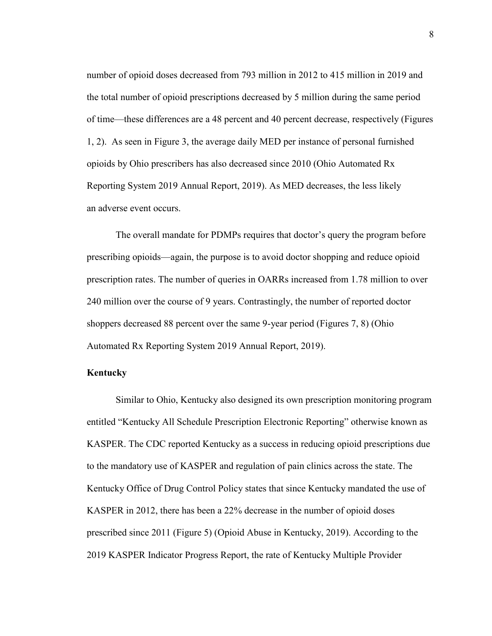number of opioid doses decreased from 793 million in 2012 to 415 million in 2019 and the total number of opioid prescriptions decreased by 5 million during the same period of time—these differences are a 48 percent and 40 percent decrease, respectively (Figures 1, 2). As seen in Figure 3, the average daily MED per instance of personal furnished opioids by Ohio prescribers has also decreased since 2010 (Ohio Automated Rx Reporting System 2019 Annual Report, 2019). As MED decreases, the less likely an adverse event occurs.

The overall mandate for PDMPs requires that doctor's query the program before prescribing opioids—again, the purpose is to avoid doctor shopping and reduce opioid prescription rates. The number of queries in OARRs increased from 1.78 million to over 240 million over the course of 9 years. Contrastingly, the number of reported doctor shoppers decreased 88 percent over the same 9-year period (Figures 7, 8) (Ohio Automated Rx Reporting System 2019 Annual Report, 2019).

#### **Kentucky**

Similar to Ohio, Kentucky also designed its own prescription monitoring program entitled "Kentucky All Schedule Prescription Electronic Reporting" otherwise known as KASPER. The CDC reported Kentucky as a success in reducing opioid prescriptions due to the mandatory use of KASPER and regulation of pain clinics across the state. The Kentucky Office of Drug Control Policy states that since Kentucky mandated the use of KASPER in 2012, there has been a 22% decrease in the number of opioid doses prescribed since 2011 (Figure 5) (Opioid Abuse in Kentucky, 2019). According to the 2019 KASPER Indicator Progress Report, the rate of Kentucky Multiple Provider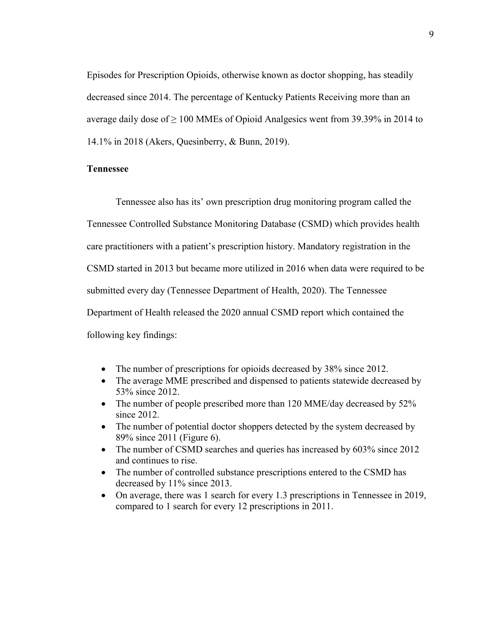Episodes for Prescription Opioids, otherwise known as doctor shopping, has steadily decreased since 2014. The percentage of Kentucky Patients Receiving more than an average daily dose of  $\geq 100$  MMEs of Opioid Analgesics went from 39.39% in 2014 to 14.1% in 2018 (Akers, Quesinberry, & Bunn, 2019).

#### **Tennessee**

Tennessee also has its' own prescription drug monitoring program called the Tennessee Controlled Substance Monitoring Database (CSMD) which provides health care practitioners with a patient's prescription history. Mandatory registration in the CSMD started in 2013 but became more utilized in 2016 when data were required to be submitted every day (Tennessee Department of Health, 2020). The Tennessee Department of Health released the 2020 annual CSMD report which contained the following key findings:

- The number of prescriptions for opioids decreased by 38% since 2012.
- The average MME prescribed and dispensed to patients statewide decreased by 53% since 2012.
- The number of people prescribed more than 120 MME/day decreased by 52% since 2012.
- The number of potential doctor shoppers detected by the system decreased by 89% since 2011 (Figure 6).
- The number of CSMD searches and queries has increased by 603% since 2012 and continues to rise.
- The number of controlled substance prescriptions entered to the CSMD has decreased by 11% since 2013.
- On average, there was 1 search for every 1.3 prescriptions in Tennessee in 2019, compared to 1 search for every 12 prescriptions in 2011.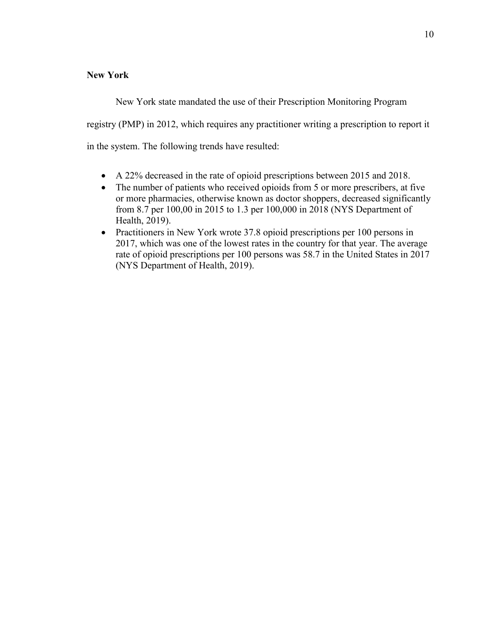### **New York**

New York state mandated the use of their Prescription Monitoring Program registry (PMP) in 2012, which requires any practitioner writing a prescription to report it in the system. The following trends have resulted:

- A 22% decreased in the rate of opioid prescriptions between 2015 and 2018.
- The number of patients who received opioids from 5 or more prescribers, at five or more pharmacies, otherwise known as doctor shoppers, decreased significantly from 8.7 per 100,00 in 2015 to 1.3 per 100,000 in 2018 (NYS Department of Health, 2019).
- Practitioners in New York wrote 37.8 opioid prescriptions per 100 persons in 2017, which was one of the lowest rates in the country for that year. The average rate of opioid prescriptions per 100 persons was 58.7 in the United States in 2017 (NYS Department of Health, 2019).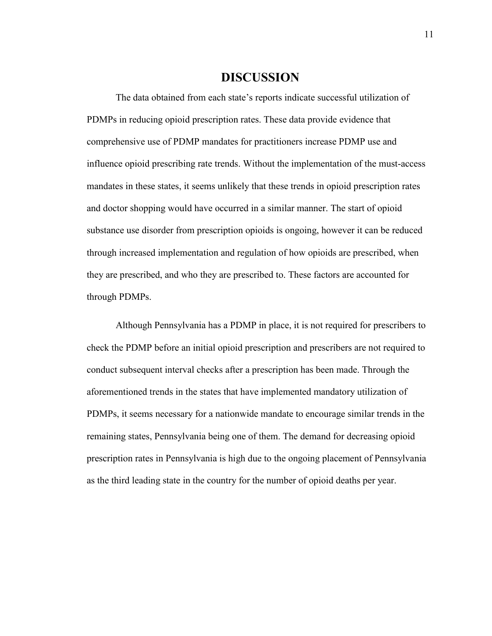## **DISCUSSION**

The data obtained from each state's reports indicate successful utilization of PDMPs in reducing opioid prescription rates. These data provide evidence that comprehensive use of PDMP mandates for practitioners increase PDMP use and influence opioid prescribing rate trends. Without the implementation of the must-access mandates in these states, it seems unlikely that these trends in opioid prescription rates and doctor shopping would have occurred in a similar manner. The start of opioid substance use disorder from prescription opioids is ongoing, however it can be reduced through increased implementation and regulation of how opioids are prescribed, when they are prescribed, and who they are prescribed to. These factors are accounted for through PDMPs.

Although Pennsylvania has a PDMP in place, it is not required for prescribers to check the PDMP before an initial opioid prescription and prescribers are not required to conduct subsequent interval checks after a prescription has been made. Through the aforementioned trends in the states that have implemented mandatory utilization of PDMPs, it seems necessary for a nationwide mandate to encourage similar trends in the remaining states, Pennsylvania being one of them. The demand for decreasing opioid prescription rates in Pennsylvania is high due to the ongoing placement of Pennsylvania as the third leading state in the country for the number of opioid deaths per year.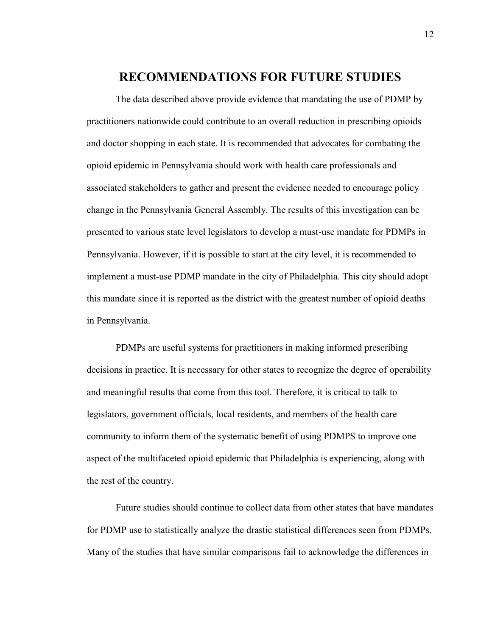# **RECOMMENDATIONS FOR FUTURE STUDIES**

The data described above provide evidence that mandating the use of PDMP by practitioners nationwide could contribute to an overall reduction in prescribing opioids and doctor shopping in each state. It is recommended that advocates for combating the opioid epidemic in Pennsylvania should work with health care professionals and associated stakeholders to gather and present the evidence needed to encourage policy change in the Pennsylvania General Assembly. The results of this investigation can be presented to various state level legislators to develop a must-use mandate for PDMPs in Pennsylvania. However, if it is possible to start at the city level, it is recommended to implement a must-use PDMP mandate in the city of Philadelphia. This city should adopt this mandate since it is reported as the district with the greatest number of opioid deaths in Pennsylvania.

PDMPs are useful systems for practitioners in making informed prescribing decisions in practice. It is necessary for other states to recognize the degree of operability and meaningful results that come from this tool. Therefore, it is critical to talk to legislators, government officials, local residents, and members of the health care community to inform them of the systematic benefit of using PDMPS to improve one aspect of the multifaceted opioid epidemic that Philadelphia is experiencing, along with the rest of the country.

Future studies should continue to collect data from other states that have mandates for PDMP use to statistically analyze the drastic statistical differences seen from PDMPs. Many of the studies that have similar comparisons fail to acknowledge the differences in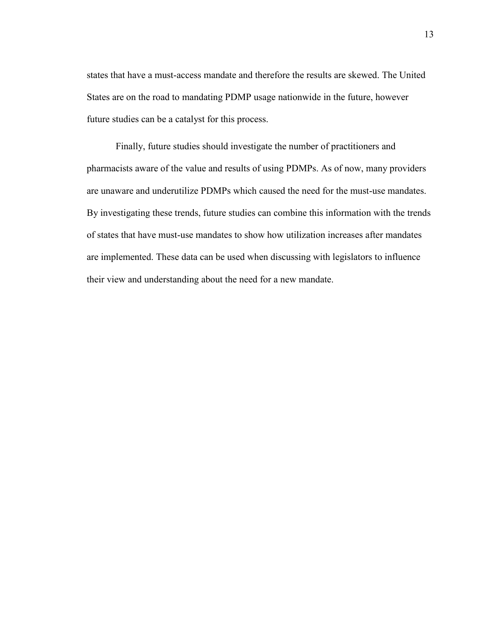states that have a must-access mandate and therefore the results are skewed. The United States are on the road to mandating PDMP usage nationwide in the future, however future studies can be a catalyst for this process.

Finally, future studies should investigate the number of practitioners and pharmacists aware of the value and results of using PDMPs. As of now, many providers are unaware and underutilize PDMPs which caused the need for the must-use mandates. By investigating these trends, future studies can combine this information with the trends of states that have must-use mandates to show how utilization increases after mandates are implemented. These data can be used when discussing with legislators to influence their view and understanding about the need for a new mandate.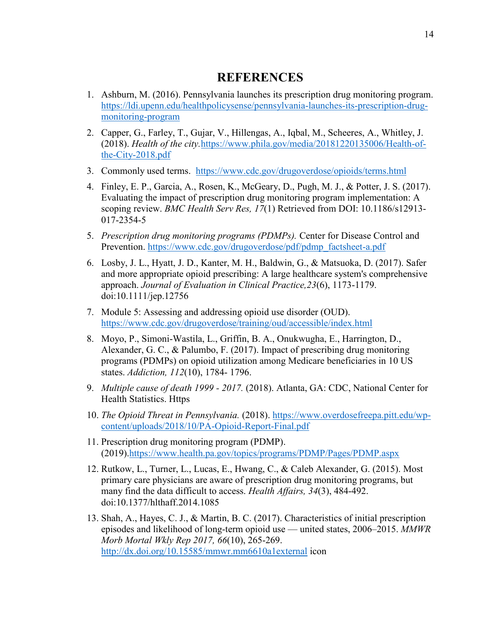# **REFERENCES**

- 1. Ashburn, M. (2016). Pennsylvania launches its prescription drug monitoring program. [https://ldi.upenn.edu/healthpolicysense/pennsylvania-launches-its-prescription-drug](https://ldi.upenn.edu/healthpolicysense/pennsylvania-launches-its-prescription-drug-monitoring-program)[monitoring-program](https://ldi.upenn.edu/healthpolicysense/pennsylvania-launches-its-prescription-drug-monitoring-program)
- 2. Capper, G., Farley, T., Gujar, V., Hillengas, A., Iqbal, M., Scheeres, A., Whitley, J. (2018). *Health of the city.*[https://www.phila.gov/media/20181220135006/Health-of](https://www.phila.gov/media/20181220135006/Health-of-the-City-2018.pdf)[the-City-2018.pdf](https://www.phila.gov/media/20181220135006/Health-of-the-City-2018.pdf)
- 3. Commonly used terms. <https://www.cdc.gov/drugoverdose/opioids/terms.html>
- 4. Finley, E. P., Garcia, A., Rosen, K., McGeary, D., Pugh, M. J., & Potter, J. S. (2017). Evaluating the impact of prescription drug monitoring program implementation: A scoping review. *BMC Health Serv Res, 17*(1) Retrieved from DOI: 10.1186/s12913- 017-2354-5
- 5. *Prescription drug monitoring programs (PDMPs).* Center for Disease Control and Prevention. [https://www.cdc.gov/drugoverdose/pdf/pdmp\\_factsheet-a.pdf](https://www.cdc.gov/drugoverdose/pdf/pdmp_factsheet-a.pdf)
- 6. Losby, J. L., Hyatt, J. D., Kanter, M. H., Baldwin, G., & Matsuoka, D. (2017). Safer and more appropriate opioid prescribing: A large healthcare system's comprehensive approach. *Journal of Evaluation in Clinical Practice,23*(6), 1173-1179. doi:10.1111/jep.12756
- 7. Module 5: Assessing and addressing opioid use disorder (OUD). <https://www.cdc.gov/drugoverdose/training/oud/accessible/index.html>
- 8. Moyo, P., Simoni-Wastila, L., Griffin, B. A., Onukwugha, E., Harrington, D., Alexander, G. C., & Palumbo, F. (2017). Impact of prescribing drug monitoring programs (PDMPs) on opioid utilization among Medicare beneficiaries in 10 US states. *Addiction, 112*(10), 1784- 1796.
- 9. *Multiple cause of death 1999 - 2017.* (2018). Atlanta, GA: CDC, National Center for Health Statistics. Https
- 10. *The Opioid Threat in Pennsylvania.* (2018). [https://www.overdosefreepa.pitt.edu/wp](https://www.overdosefreepa.pitt.edu/wp-content/uploads/2018/10/PA-Opioid-Report-Final.pdf)[content/uploads/2018/10/PA-Opioid-Report-Final.pdf](https://www.overdosefreepa.pitt.edu/wp-content/uploads/2018/10/PA-Opioid-Report-Final.pdf)
- 11. Prescription drug monitoring program (PDMP). (2019)[.https://www.health.pa.gov/topics/programs/PDMP/Pages/PDMP.aspx](https://www.health.pa.gov/topics/programs/PDMP/Pages/PDMP.aspx)
- 12. Rutkow, L., Turner, L., Lucas, E., Hwang, C., & Caleb Alexander, G. (2015). Most primary care physicians are aware of prescription drug monitoring programs, but many find the data difficult to access. *Health Affairs, 34*(3), 484-492. doi:10.1377/hlthaff.2014.1085
- 13. Shah, A., Hayes, C. J., & Martin, B. C. (2017). Characteristics of initial prescription episodes and likelihood of long-term opioid use — united states, 2006–2015. *MMWR Morb Mortal Wkly Rep 2017, 66*(10), 265-269. <http://dx.doi.org/10.15585/mmwr.mm6610a1external> icon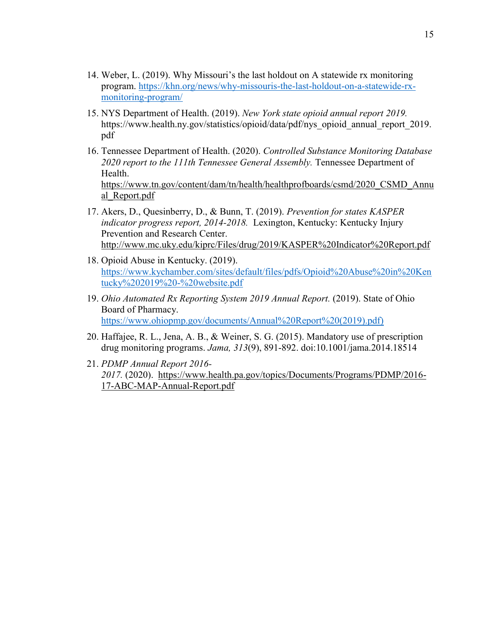- 14. Weber, L. (2019). Why Missouri's the last holdout on A statewide rx monitoring program. [https://khn.org/news/why-missouris-the-last-holdout-on-a-statewide-rx](https://khn.org/news/why-missouris-the-last-holdout-on-a-statewide-rx-monitoring-program/)[monitoring-program/](https://khn.org/news/why-missouris-the-last-holdout-on-a-statewide-rx-monitoring-program/)
- 15. NYS Department of Health. (2019). *New York state opioid annual report 2019.* [https://www.health.ny.gov/statistics/opioid/data/pdf/nys\\_opioid\\_annual\\_report\\_2019.](https://www.health.ny.gov/statistics/opioid/data/pdf/nys_opioid_annual_report_2019.pdf) [pdf](https://www.health.ny.gov/statistics/opioid/data/pdf/nys_opioid_annual_report_2019.pdf)
- 16. Tennessee Department of Health. (2020). *Controlled Substance Monitoring Database 2020 report to the 111th Tennessee General Assembly.* Tennessee Department of Health. [https://www.tn.gov/content/dam/tn/health/healthprofboards/csmd/2020\\_CSMD\\_Annu](https://www.tn.gov/content/dam/tn/health/healthprofboards/csmd/2020_CSMD_Annual_Report.pdf) [al\\_Report.pdf](https://www.tn.gov/content/dam/tn/health/healthprofboards/csmd/2020_CSMD_Annual_Report.pdf)
- 17. Akers, D., Quesinberry, D., & Bunn, T. (2019). *Prevention for states KASPER indicator progress report, 2014-2018.* Lexington, Kentucky: Kentucky Injury Prevention and Research Center. <http://www.mc.uky.edu/kiprc/Files/drug/2019/KASPER%20Indicator%20Report.pdf>
- 18. Opioid Abuse in Kentucky. (2019). [https://www.kychamber.com/sites/default/files/pdfs/Opioid%20Abuse%20in%20Ken](https://www.kychamber.com/sites/default/files/pdfs/Opioid%20Abuse%20in%20Kentucky%202019%20-%20website.pdf) [tucky%202019%20-%20website.pdf](https://www.kychamber.com/sites/default/files/pdfs/Opioid%20Abuse%20in%20Kentucky%202019%20-%20website.pdf)
- 19. *Ohio Automated Rx Reporting System 2019 Annual Report.* (2019). State of Ohio Board of Pharmacy. [https://www.ohiopmp.gov/documents/Annual%20Report%20\(2019\).pdf\)](https://www.ohiopmp.gov/documents/Annual%20Report%20(2019).pdf))
- 20. Haffajee, R. L., Jena, A. B., & Weiner, S. G. (2015). Mandatory use of prescription drug monitoring programs. *Jama, 313*(9), 891-892. doi:10.1001/jama.2014.18514
- 21. *PDMP Annual Report 2016- 2017.* (2020). [https://www.health.pa.gov/topics/Documents/Programs/PDMP/2016-](https://www.health.pa.gov/topics/Documents/Programs/PDMP/2016-17-ABC-MAP-Annual-Report.pdf) [17-ABC-MAP-Annual-Report.pdf](https://www.health.pa.gov/topics/Documents/Programs/PDMP/2016-17-ABC-MAP-Annual-Report.pdf)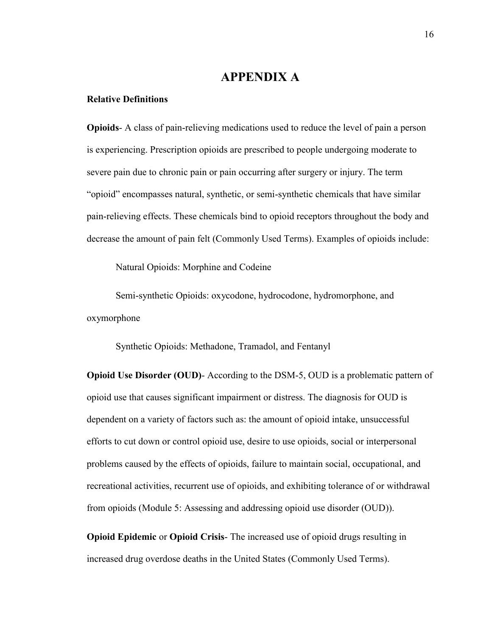# **APPENDIX A**

#### **Relative Definitions**

**Opioids**- A class of pain-relieving medications used to reduce the level of pain a person is experiencing. Prescription opioids are prescribed to people undergoing moderate to severe pain due to chronic pain or pain occurring after surgery or injury. The term "opioid" encompasses natural, synthetic, or semi-synthetic chemicals that have similar pain-relieving effects. These chemicals bind to opioid receptors throughout the body and decrease the amount of pain felt (Commonly Used Terms). Examples of opioids include:

Natural Opioids: Morphine and Codeine

Semi-synthetic Opioids: oxycodone, hydrocodone, hydromorphone, and oxymorphone

Synthetic Opioids: Methadone, Tramadol, and Fentanyl

**Opioid Use Disorder (OUD)**- According to the DSM-5, OUD is a problematic pattern of opioid use that causes significant impairment or distress. The diagnosis for OUD is dependent on a variety of factors such as: the amount of opioid intake, unsuccessful efforts to cut down or control opioid use, desire to use opioids, social or interpersonal problems caused by the effects of opioids, failure to maintain social, occupational, and recreational activities, recurrent use of opioids, and exhibiting tolerance of or withdrawal from opioids (Module 5: Assessing and addressing opioid use disorder (OUD)).

**Opioid Epidemic** or **Opioid Crisis**- The increased use of opioid drugs resulting in increased drug overdose deaths in the United States (Commonly Used Terms).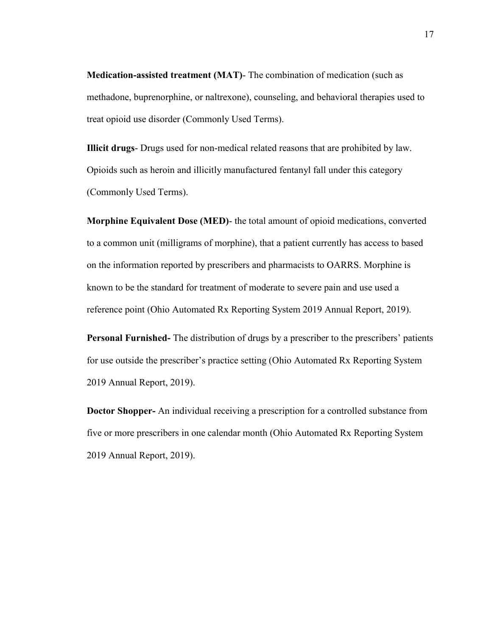**Medication-assisted treatment (MAT)**- The combination of medication (such as methadone, buprenorphine, or naltrexone), counseling, and behavioral therapies used to treat opioid use disorder (Commonly Used Terms).

**Illicit drugs**- Drugs used for non-medical related reasons that are prohibited by law. Opioids such as heroin and illicitly manufactured fentanyl fall under this category (Commonly Used Terms).

**Morphine Equivalent Dose (MED)**- the total amount of opioid medications, converted to a common unit (milligrams of morphine), that a patient currently has access to based on the information reported by prescribers and pharmacists to OARRS. Morphine is known to be the standard for treatment of moderate to severe pain and use used a reference point (Ohio Automated Rx Reporting System 2019 Annual Report, 2019).

**Personal Furnished-** The distribution of drugs by a prescriber to the prescribers' patients for use outside the prescriber's practice setting (Ohio Automated Rx Reporting System 2019 Annual Report, 2019).

**Doctor Shopper-** An individual receiving a prescription for a controlled substance from five or more prescribers in one calendar month (Ohio Automated Rx Reporting System 2019 Annual Report, 2019).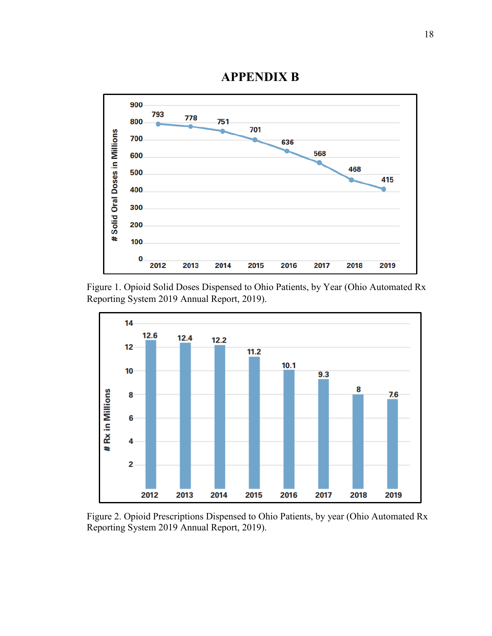

**APPENDIX B**

Figure 1. Opioid Solid Doses Dispensed to Ohio Patients, by Year (Ohio Automated Rx Reporting System 2019 Annual Report, 2019).



Figure 2. Opioid Prescriptions Dispensed to Ohio Patients, by year (Ohio Automated Rx Reporting System 2019 Annual Report, 2019).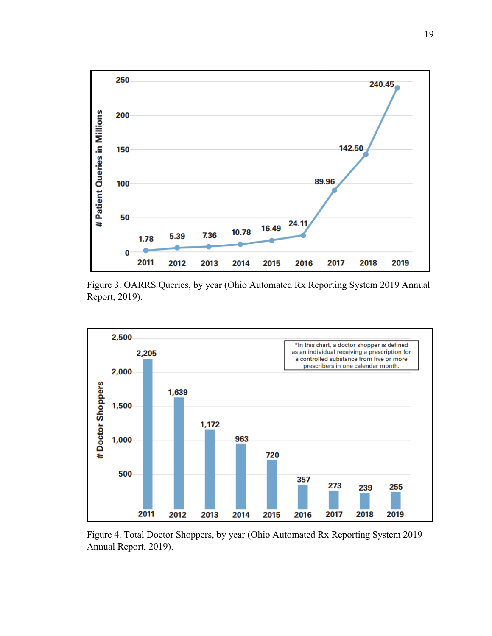

Figure 3. OARRS Queries, by year (Ohio Automated Rx Reporting System 2019 Annual Report, 2019).



Figure 4. Total Doctor Shoppers, by year (Ohio Automated Rx Reporting System 2019 Annual Report, 2019).